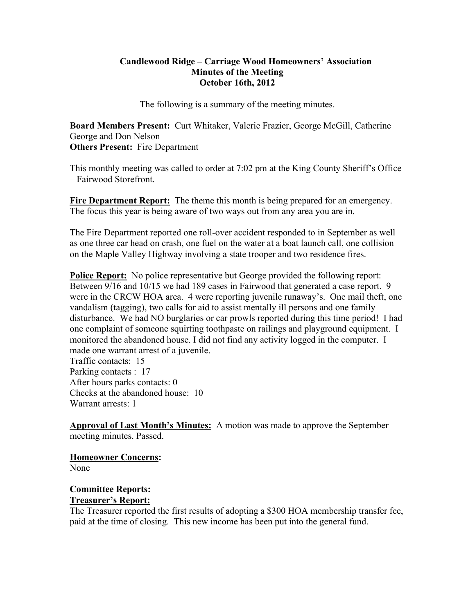#### **Candlewood Ridge – Carriage Wood Homeowners' Association Minutes of the Meeting October 16th, 2012**

The following is a summary of the meeting minutes.

**Board Members Present:** Curt Whitaker, Valerie Frazier, George McGill, Catherine George and Don Nelson **Others Present:** Fire Department

This monthly meeting was called to order at 7:02 pm at the King County Sheriff's Office – Fairwood Storefront.

**Fire Department Report:** The theme this month is being prepared for an emergency. The focus this year is being aware of two ways out from any area you are in.

The Fire Department reported one roll-over accident responded to in September as well as one three car head on crash, one fuel on the water at a boat launch call, one collision on the Maple Valley Highway involving a state trooper and two residence fires.

**Police Report:** No police representative but George provided the following report: Between 9/16 and 10/15 we had 189 cases in Fairwood that generated a case report. 9 were in the CRCW HOA area. 4 were reporting juvenile runaway's. One mail theft, one vandalism (tagging), two calls for aid to assist mentally ill persons and one family disturbance. We had NO burglaries or car prowls reported during this time period! I had one complaint of someone squirting toothpaste on railings and playground equipment. I monitored the abandoned house. I did not find any activity logged in the computer. I made one warrant arrest of a juvenile.

Traffic contacts: 15 Parking contacts : 17 After hours parks contacts: 0 Checks at the abandoned house: 10 Warrant arrests: 1

**Approval of Last Month's Minutes:** A motion was made to approve the September meeting minutes. Passed.

**Homeowner Concerns:** 

None

#### **Committee Reports: Treasurer's Report:**

The Treasurer reported the first results of adopting a \$300 HOA membership transfer fee, paid at the time of closing. This new income has been put into the general fund.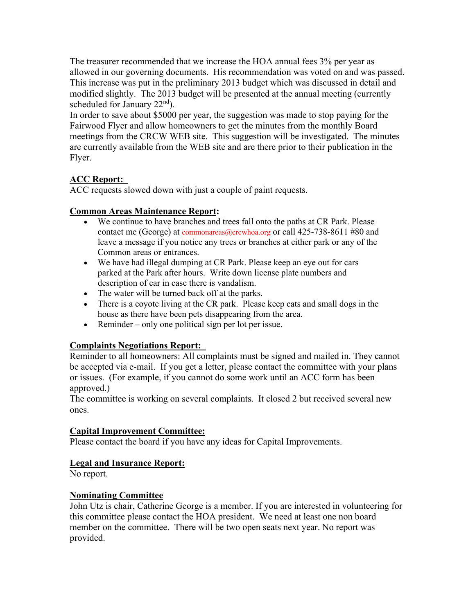The treasurer recommended that we increase the HOA annual fees 3% per year as allowed in our governing documents. His recommendation was voted on and was passed. This increase was put in the preliminary 2013 budget which was discussed in detail and modified slightly. The 2013 budget will be presented at the annual meeting (currently scheduled for January  $22<sup>nd</sup>$ ).

In order to save about \$5000 per year, the suggestion was made to stop paying for the Fairwood Flyer and allow homeowners to get the minutes from the monthly Board meetings from the CRCW WEB site. This suggestion will be investigated. The minutes are currently available from the WEB site and are there prior to their publication in the Flyer.

# **ACC Report:**

ACC requests slowed down with just a couple of paint requests.

# **Common Areas Maintenance Report:**

- We continue to have branches and trees fall onto the paths at CR Park. Please contact me (George) at commonareas@crcwhoa.org or call 425-738-8611 #80 and leave a message if you notice any trees or branches at either park or any of the Common areas or entrances.
- We have had illegal dumping at CR Park. Please keep an eye out for cars parked at the Park after hours. Write down license plate numbers and description of car in case there is vandalism.
- The water will be turned back off at the parks.
- There is a coyote living at the CR park. Please keep cats and small dogs in the house as there have been pets disappearing from the area.
- Reminder only one political sign per lot per issue.

# **Complaints Negotiations Report:**

Reminder to all homeowners: All complaints must be signed and mailed in. They cannot be accepted via e-mail. If you get a letter, please contact the committee with your plans or issues. (For example, if you cannot do some work until an ACC form has been approved.)

The committee is working on several complaints. It closed 2 but received several new ones.

# **Capital Improvement Committee:**

Please contact the board if you have any ideas for Capital Improvements.

# **Legal and Insurance Report:**

No report.

#### **Nominating Committee**

John Utz is chair, Catherine George is a member. If you are interested in volunteering for this committee please contact the HOA president. We need at least one non board member on the committee. There will be two open seats next year. No report was provided.